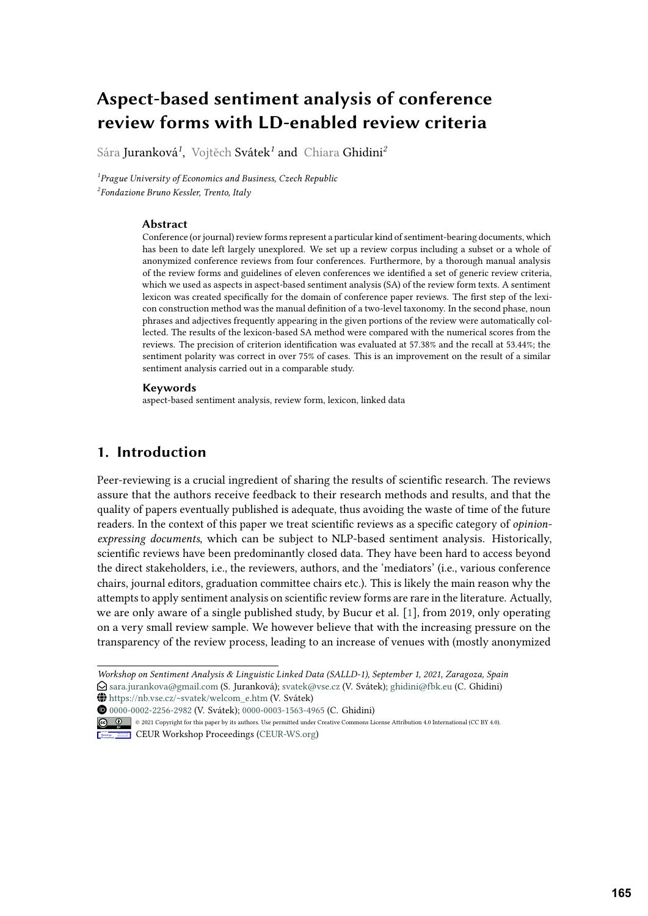# **Aspect-based sentiment analysis of conference review forms with LD-enabled review criteria**

Sára Juranková*<sup>1</sup>* , Vojtěch Svátek*<sup>1</sup>* and Chiara Ghidini*<sup>2</sup>*

*1 Prague University of Economics and Business, Czech Republic 2 Fondazione Bruno Kessler, Trento, Italy*

### **Abstract**

Conference (or journal) review forms represent a particular kind of sentiment-bearing documents, which has been to date left largely unexplored. We set up a review corpus including a subset or a whole of anonymized conference reviews from four conferences. Furthermore, by a thorough manual analysis of the review forms and guidelines of eleven conferences we identified a set of generic review criteria, which we used as aspects in aspect-based sentiment analysis (SA) of the review form texts. A sentiment lexicon was created specifically for the domain of conference paper reviews. The first step of the lexicon construction method was the manual definition of a two-level taxonomy. In the second phase, noun phrases and adjectives frequently appearing in the given portions of the review were automatically collected. The results of the lexicon-based SA method were compared with the numerical scores from the reviews. The precision of criterion identification was evaluated at 57.38% and the recall at 53.44%; the sentiment polarity was correct in over 75% of cases. This is an improvement on the result of a similar sentiment analysis carried out in a comparable study.

### **Keywords**

aspect-based sentiment analysis, review form, lexicon, linked data

## **1. Introduction**

Peer-reviewing is a crucial ingredient of sharing the results of scientific research. The reviews assure that the authors receive feedback to their research methods and results, and that the quality of papers eventually published is adequate, thus avoiding the waste of time of the future readers. In the context of this paper we treat scientific reviews as a specific category of *opinionexpressing documents*, which can be subject to NLP-based sentiment analysis. Historically, scientific reviews have been predominantly closed data. They have been hard to access beyond the direct stakeholders, i.e., the reviewers, authors, and the 'mediators' (i.e., various conference chairs, journal editors, graduation committee chairs etc.). This is likely the main reason why the attempts to apply sentiment analysis on scientific review forms are rare in the literature. Actually, we are only aware of a single published study, by Bucur et al. [\[1\]](#page-16-0), from 2019, only operating on a very small review sample. We however believe that with the increasing pressure on the transparency of the review process, leading to an increase of venues with (mostly anonymized

 $\bigoplus$  [https://nb.vse.cz/~svatek/welcom\\_e.htm](https://nb.vse.cz/~svatek/welcom_e.htm) (V. Svátek)

[0000-0002-2256-2982](https://orcid.org/0000-0002-2256-2982) (V. Svátek); [0000-0003-1563-4965](https://orcid.org/0000-0003-1563-4965) (C. Ghidini)

*Workshop on Sentiment Analysis & Linguistic Linked Data (SALLD-1), September 1, 2021, Zaragoza, Spain*  $\bigcirc$ [sara.jurankova@gmail.com](mailto:sara.jurankova@gmail.com) (S. Juranková); [svatek@vse.cz](mailto:svatek@vse.cz) (V. Svátek); [ghidini@fbk.eu](mailto:ghidini@fbk.eu) (C. Ghidini)

<sup>©</sup> 2021 Copyright for this paper by its authors. Use permitted under Creative Commons License Attribution 4.0 International (CC BY 4.0).

**CEUR Workshop [Proceedings](http://ceur-ws.org) [\(CEUR-WS.org\)](http://ceur-ws.org)**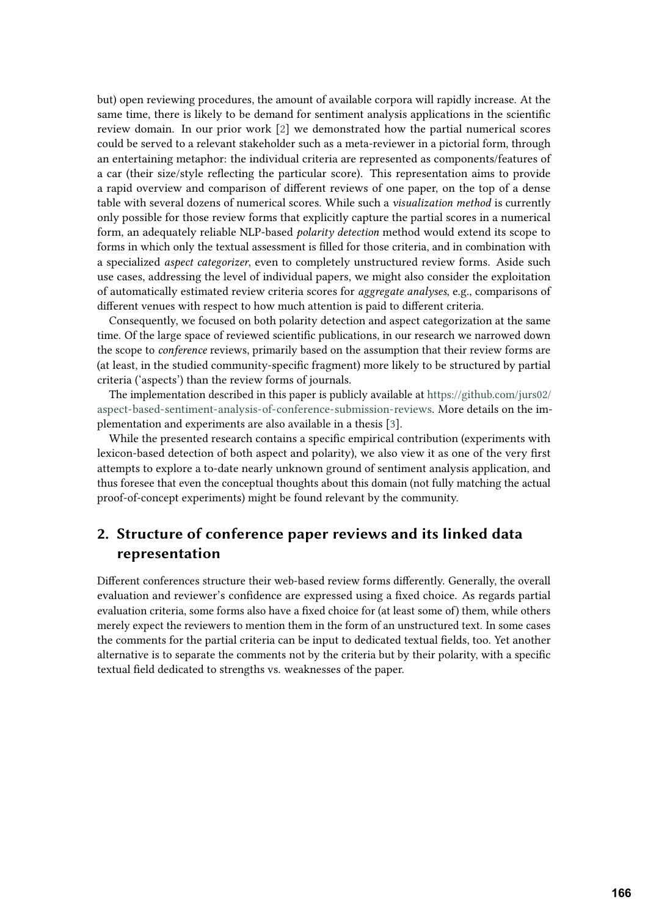but) open reviewing procedures, the amount of available corpora will rapidly increase. At the same time, there is likely to be demand for sentiment analysis applications in the scientific review domain. In our prior work [\[2\]](#page-16-1) we demonstrated how the partial numerical scores could be served to a relevant stakeholder such as a meta-reviewer in a pictorial form, through an entertaining metaphor: the individual criteria are represented as components/features of a car (their size/style reflecting the particular score). This representation aims to provide a rapid overview and comparison of different reviews of one paper, on the top of a dense table with several dozens of numerical scores. While such a *visualization method* is currently only possible for those review forms that explicitly capture the partial scores in a numerical form, an adequately reliable NLP-based *polarity detection* method would extend its scope to forms in which only the textual assessment is filled for those criteria, and in combination with a specialized *aspect categorizer*, even to completely unstructured review forms. Aside such use cases, addressing the level of individual papers, we might also consider the exploitation of automatically estimated review criteria scores for *aggregate analyses*, e.g., comparisons of different venues with respect to how much attention is paid to different criteria.

Consequently, we focused on both polarity detection and aspect categorization at the same time. Of the large space of reviewed scientific publications, in our research we narrowed down the scope to *conference* reviews, primarily based on the assumption that their review forms are (at least, in the studied community-specific fragment) more likely to be structured by partial criteria ('aspects') than the review forms of journals.

The implementation described in this paper is publicly available at [https://github.com/jurs02/](https://github.com/jurs02/aspect-based-sentiment-analysis-of-conference-submission-reviews) [aspect-based-sentiment-analysis-of-conference-submission-reviews.](https://github.com/jurs02/aspect-based-sentiment-analysis-of-conference-submission-reviews) More details on the implementation and experiments are also available in a thesis [\[3\]](#page-16-2).

While the presented research contains a specific empirical contribution (experiments with lexicon-based detection of both aspect and polarity), we also view it as one of the very first attempts to explore a to-date nearly unknown ground of sentiment analysis application, and thus foresee that even the conceptual thoughts about this domain (not fully matching the actual proof-of-concept experiments) might be found relevant by the community.

## <span id="page-1-0"></span>**2. Structure of conference paper reviews and its linked data representation**

Different conferences structure their web-based review forms differently. Generally, the overall evaluation and reviewer's confidence are expressed using a fixed choice. As regards partial evaluation criteria, some forms also have a fixed choice for (at least some of) them, while others merely expect the reviewers to mention them in the form of an unstructured text. In some cases the comments for the partial criteria can be input to dedicated textual fields, too. Yet another alternative is to separate the comments not by the criteria but by their polarity, with a specific textual field dedicated to strengths vs. weaknesses of the paper.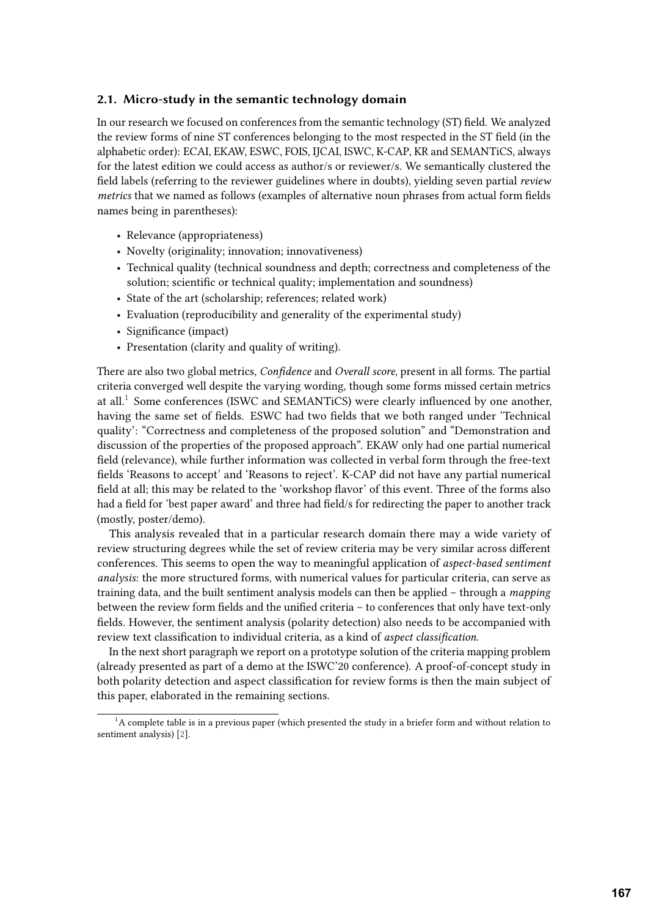### <span id="page-2-1"></span>**2.1. Micro-study in the semantic technology domain**

In our research we focused on conferences from the semantic technology (ST) field. We analyzed the review forms of nine ST conferences belonging to the most respected in the ST field (in the alphabetic order): ECAI, EKAW, ESWC, FOIS, IJCAI, ISWC, K-CAP, KR and SEMANTiCS, always for the latest edition we could access as author/s or reviewer/s. We semantically clustered the field labels (referring to the reviewer guidelines where in doubts), yielding seven partial *review metrics* that we named as follows (examples of alternative noun phrases from actual form fields names being in parentheses):

- Relevance (appropriateness)
- Novelty (originality; innovation; innovativeness)
- Technical quality (technical soundness and depth; correctness and completeness of the solution; scientific or technical quality; implementation and soundness)
- State of the art (scholarship; references; related work)
- Evaluation (reproducibility and generality of the experimental study)
- Significance (impact)
- Presentation (clarity and quality of writing).

There are also two global metrics, *Confidence* and *Overall score*, present in all forms. The partial criteria converged well despite the varying wording, though some forms missed certain metrics at all.<sup>[1](#page-2-0)</sup> Some conferences (ISWC and SEMANTiCS) were clearly influenced by one another, having the same set of fields. ESWC had two fields that we both ranged under 'Technical quality': "Correctness and completeness of the proposed solution" and "Demonstration and discussion of the properties of the proposed approach". EKAW only had one partial numerical field (relevance), while further information was collected in verbal form through the free-text fields 'Reasons to accept' and 'Reasons to reject'. K-CAP did not have any partial numerical field at all; this may be related to the 'workshop flavor' of this event. Three of the forms also had a field for 'best paper award' and three had field/s for redirecting the paper to another track (mostly, poster/demo).

This analysis revealed that in a particular research domain there may a wide variety of review structuring degrees while the set of review criteria may be very similar across different conferences. This seems to open the way to meaningful application of *aspect-based sentiment analysis*: the more structured forms, with numerical values for particular criteria, can serve as training data, and the built sentiment analysis models can then be applied – through a *mapping* between the review form fields and the unified criteria – to conferences that only have text-only fields. However, the sentiment analysis (polarity detection) also needs to be accompanied with review text classification to individual criteria, as a kind of *aspect classification*.

In the next short paragraph we report on a prototype solution of the criteria mapping problem (already presented as part of a demo at the ISWC'20 conference). A proof-of-concept study in both polarity detection and aspect classification for review forms is then the main subject of this paper, elaborated in the remaining sections.

<span id="page-2-0"></span> $1A$  complete table is in a previous paper (which presented the study in a briefer form and without relation to sentiment analysis) [\[2\]](#page-16-1).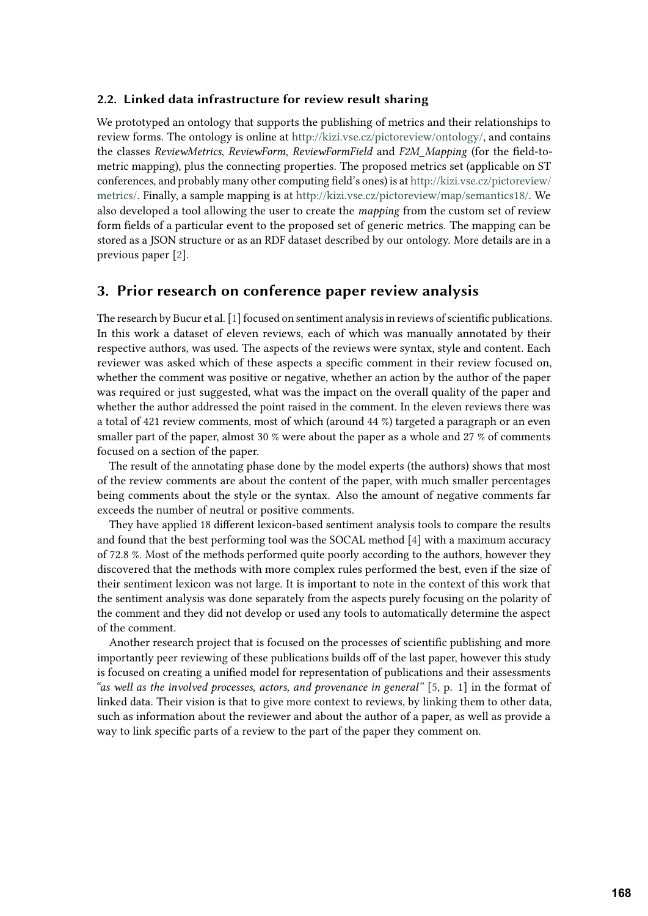### **2.2. Linked data infrastructure for review result sharing**

We prototyped an ontology that supports the publishing of metrics and their relationships to review forms. The ontology is online at [http://kizi.vse.cz/pictoreview/ontology/,](http://kizi.vse.cz/pictoreview/ontology/) and contains the classes *ReviewMetrics*, *ReviewForm*, *ReviewFormField* and *F2M\_Mapping* (for the field-tometric mapping), plus the connecting properties. The proposed metrics set (applicable on ST conferences, and probably many other computing field's ones) is at [http://kizi.vse.cz/pictoreview/](http://kizi.vse.cz/pictoreview/metrics/) [metrics/.](http://kizi.vse.cz/pictoreview/metrics/) Finally, a sample mapping is at [http://kizi.vse.cz/pictoreview/map/semantics18/.](http://kizi.vse.cz/pictoreview/map/semantics18/) We also developed a tool allowing the user to create the *mapping* from the custom set of review form fields of a particular event to the proposed set of generic metrics. The mapping can be stored as a JSON structure or as an RDF dataset described by our ontology. More details are in a previous paper [\[2\]](#page-16-1).

### **3. Prior research on conference paper review analysis**

The research by Bucur et al. [\[1\]](#page-16-0) focused on sentiment analysis in reviews of scientific publications. In this work a dataset of eleven reviews, each of which was manually annotated by their respective authors, was used. The aspects of the reviews were syntax, style and content. Each reviewer was asked which of these aspects a specific comment in their review focused on, whether the comment was positive or negative, whether an action by the author of the paper was required or just suggested, what was the impact on the overall quality of the paper and whether the author addressed the point raised in the comment. In the eleven reviews there was a total of 421 review comments, most of which (around 44 %) targeted a paragraph or an even smaller part of the paper, almost 30 % were about the paper as a whole and 27 % of comments focused on a section of the paper.

The result of the annotating phase done by the model experts (the authors) shows that most of the review comments are about the content of the paper, with much smaller percentages being comments about the style or the syntax. Also the amount of negative comments far exceeds the number of neutral or positive comments.

They have applied 18 different lexicon-based sentiment analysis tools to compare the results and found that the best performing tool was the SOCAL method [\[4\]](#page-16-3) with a maximum accuracy of 72.8 %. Most of the methods performed quite poorly according to the authors, however they discovered that the methods with more complex rules performed the best, even if the size of their sentiment lexicon was not large. It is important to note in the context of this work that the sentiment analysis was done separately from the aspects purely focusing on the polarity of the comment and they did not develop or used any tools to automatically determine the aspect of the comment.

Another research project that is focused on the processes of scientific publishing and more importantly peer reviewing of these publications builds off of the last paper, however this study is focused on creating a unified model for representation of publications and their assessments *"as well as the involved processes, actors, and provenance in general"* [\[5,](#page-16-4) p. 1] in the format of linked data. Their vision is that to give more context to reviews, by linking them to other data, such as information about the reviewer and about the author of a paper, as well as provide a way to link specific parts of a review to the part of the paper they comment on.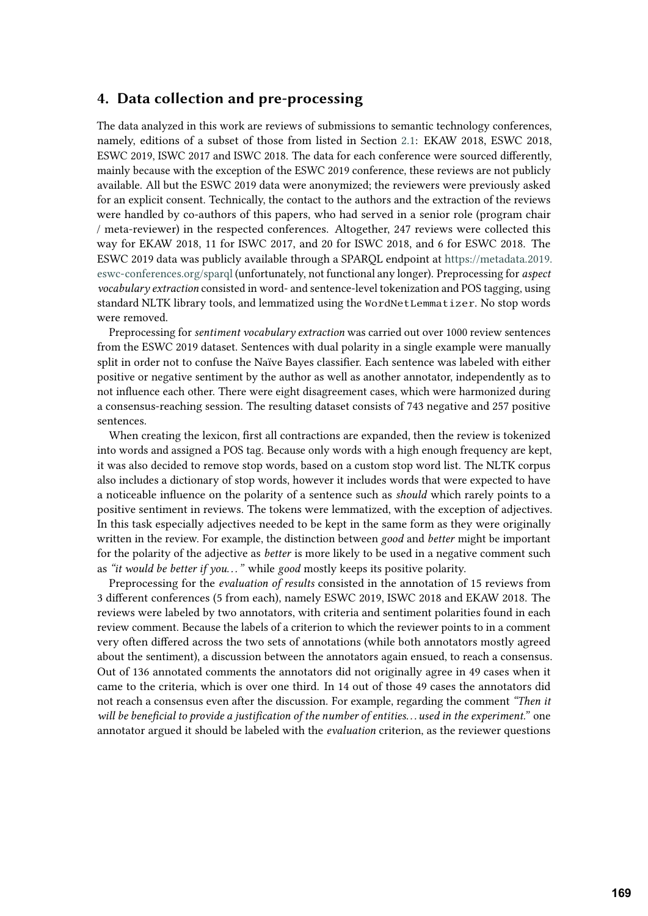### **4. Data collection and pre-processing**

The data analyzed in this work are reviews of submissions to semantic technology conferences, namely, editions of a subset of those from listed in Section [2.1:](#page-2-1) EKAW 2018, ESWC 2018, ESWC 2019, ISWC 2017 and ISWC 2018. The data for each conference were sourced differently, mainly because with the exception of the ESWC 2019 conference, these reviews are not publicly available. All but the ESWC 2019 data were anonymized; the reviewers were previously asked for an explicit consent. Technically, the contact to the authors and the extraction of the reviews were handled by co-authors of this papers, who had served in a senior role (program chair / meta-reviewer) in the respected conferences. Altogether, 247 reviews were collected this way for EKAW 2018, 11 for ISWC 2017, and 20 for ISWC 2018, and 6 for ESWC 2018. The ESWC 2019 data was publicly available through a SPARQL endpoint at [https://metadata.2019.](https://metadata.2019.eswc-conferences.org/sparql) [eswc-conferences.org/sparql](https://metadata.2019.eswc-conferences.org/sparql) (unfortunately, not functional any longer). Preprocessing for *aspect vocabulary extraction* consisted in word- and sentence-level tokenization and POS tagging, using standard NLTK library tools, and lemmatized using the WordNetLemmatizer. No stop words were removed.

Preprocessing for *sentiment vocabulary extraction* was carried out over 1000 review sentences from the ESWC 2019 dataset. Sentences with dual polarity in a single example were manually split in order not to confuse the Naïve Bayes classifier. Each sentence was labeled with either positive or negative sentiment by the author as well as another annotator, independently as to not influence each other. There were eight disagreement cases, which were harmonized during a consensus-reaching session. The resulting dataset consists of 743 negative and 257 positive sentences.

When creating the lexicon, first all contractions are expanded, then the review is tokenized into words and assigned a POS tag. Because only words with a high enough frequency are kept, it was also decided to remove stop words, based on a custom stop word list. The NLTK corpus also includes a dictionary of stop words, however it includes words that were expected to have a noticeable influence on the polarity of a sentence such as *should* which rarely points to a positive sentiment in reviews. The tokens were lemmatized, with the exception of adjectives. In this task especially adjectives needed to be kept in the same form as they were originally written in the review. For example, the distinction between *good* and *better* might be important for the polarity of the adjective as *better* is more likely to be used in a negative comment such as *"it would be better if you. . . "* while *good* mostly keeps its positive polarity.

Preprocessing for the *evaluation of results* consisted in the annotation of 15 reviews from 3 different conferences (5 from each), namely ESWC 2019, ISWC 2018 and EKAW 2018. The reviews were labeled by two annotators, with criteria and sentiment polarities found in each review comment. Because the labels of a criterion to which the reviewer points to in a comment very often differed across the two sets of annotations (while both annotators mostly agreed about the sentiment), a discussion between the annotators again ensued, to reach a consensus. Out of 136 annotated comments the annotators did not originally agree in 49 cases when it came to the criteria, which is over one third. In 14 out of those 49 cases the annotators did not reach a consensus even after the discussion. For example, regarding the comment *"Then it will be beneficial to provide a justification of the number of entities. . . used in the experiment."* one annotator argued it should be labeled with the *evaluation* criterion, as the reviewer questions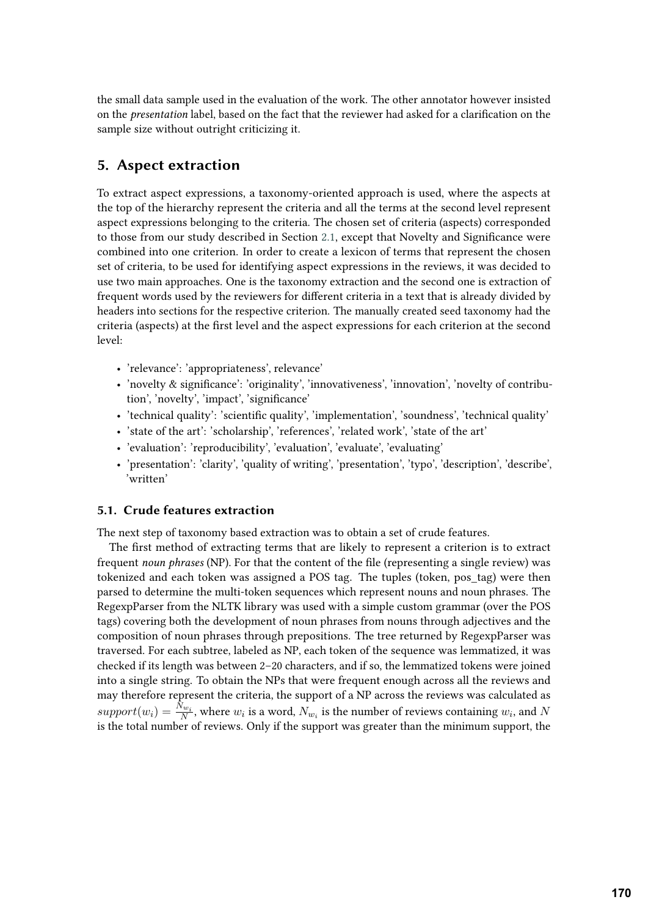the small data sample used in the evaluation of the work. The other annotator however insisted on the *presentation* label, based on the fact that the reviewer had asked for a clarification on the sample size without outright criticizing it.

## **5. Aspect extraction**

To extract aspect expressions, a taxonomy-oriented approach is used, where the aspects at the top of the hierarchy represent the criteria and all the terms at the second level represent aspect expressions belonging to the criteria. The chosen set of criteria (aspects) corresponded to those from our study described in Section [2.1,](#page-2-1) except that Novelty and Significance were combined into one criterion. In order to create a lexicon of terms that represent the chosen set of criteria, to be used for identifying aspect expressions in the reviews, it was decided to use two main approaches. One is the taxonomy extraction and the second one is extraction of frequent words used by the reviewers for different criteria in a text that is already divided by headers into sections for the respective criterion. The manually created seed taxonomy had the criteria (aspects) at the first level and the aspect expressions for each criterion at the second level:

- 'relevance': 'appropriateness', relevance'
- 'novelty & significance': 'originality', 'innovativeness', 'innovation', 'novelty of contribution', 'novelty', 'impact', 'significance'
- 'technical quality': 'scientific quality', 'implementation', 'soundness', 'technical quality'
- 'state of the art': 'scholarship', 'references', 'related work', 'state of the art'
- 'evaluation': 'reproducibility', 'evaluation', 'evaluate', 'evaluating'
- 'presentation': 'clarity', 'quality of writing', 'presentation', 'typo', 'description', 'describe', 'written'

### **5.1. Crude features extraction**

The next step of taxonomy based extraction was to obtain a set of crude features.

The first method of extracting terms that are likely to represent a criterion is to extract frequent *noun phrases* (NP). For that the content of the file (representing a single review) was tokenized and each token was assigned a POS tag. The tuples (token, pos\_tag) were then parsed to determine the multi-token sequences which represent nouns and noun phrases. The RegexpParser from the NLTK library was used with a simple custom grammar (over the POS tags) covering both the development of noun phrases from nouns through adjectives and the composition of noun phrases through prepositions. The tree returned by RegexpParser was traversed. For each subtree, labeled as NP, each token of the sequence was lemmatized, it was checked if its length was between 2–20 characters, and if so, the lemmatized tokens were joined into a single string. To obtain the NPs that were frequent enough across all the reviews and may therefore represent the criteria, the support of a NP across the reviews was calculated as  $support(w_i) = \frac{N_{w_i}}{N}$ , where  $w_i$  is a word,  $N_{w_i}$  is the number of reviews containing  $w_i$ , and  $N$ is the total number of reviews. Only if the support was greater than the minimum support, the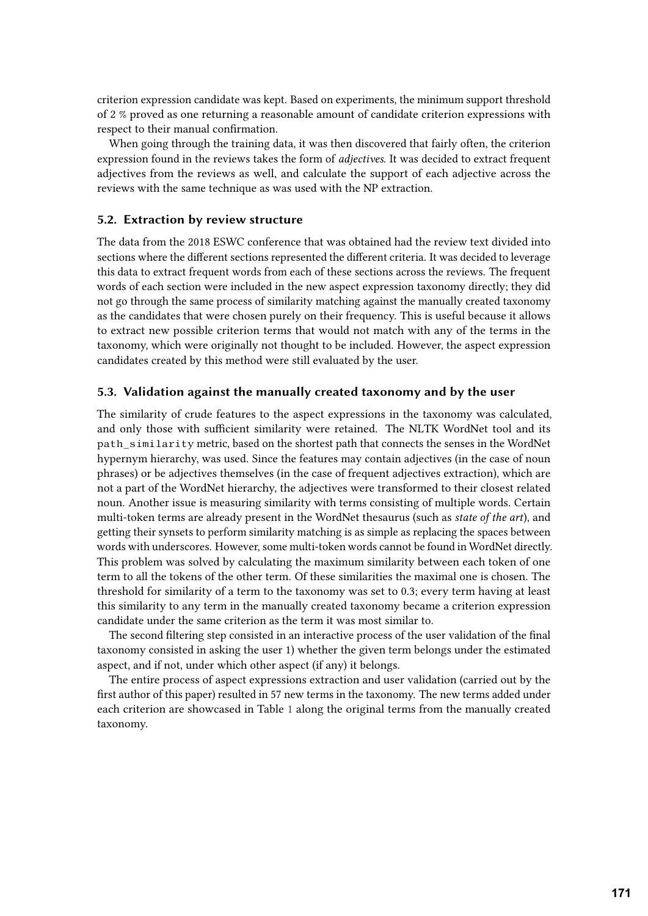criterion expression candidate was kept. Based on experiments, the minimum support threshold of 2 % proved as one returning a reasonable amount of candidate criterion expressions with respect to their manual confirmation.

When going through the training data, it was then discovered that fairly often, the criterion expression found in the reviews takes the form of *adjectives*. It was decided to extract frequent adjectives from the reviews as well, and calculate the support of each adjective across the reviews with the same technique as was used with the NP extraction.

### **5.2. Extraction by review structure**

The data from the 2018 ESWC conference that was obtained had the review text divided into sections where the different sections represented the different criteria. It was decided to leverage this data to extract frequent words from each of these sections across the reviews. The frequent words of each section were included in the new aspect expression taxonomy directly; they did not go through the same process of similarity matching against the manually created taxonomy as the candidates that were chosen purely on their frequency. This is useful because it allows to extract new possible criterion terms that would not match with any of the terms in the taxonomy, which were originally not thought to be included. However, the aspect expression candidates created by this method were still evaluated by the user.

### **5.3. Validation against the manually created taxonomy and by the user**

The similarity of crude features to the aspect expressions in the taxonomy was calculated, and only those with sufficient similarity were retained. The NLTK WordNet tool and its path\_similarity metric, based on the shortest path that connects the senses in the WordNet hypernym hierarchy, was used. Since the features may contain adjectives (in the case of noun phrases) or be adjectives themselves (in the case of frequent adjectives extraction), which are not a part of the WordNet hierarchy, the adjectives were transformed to their closest related noun. Another issue is measuring similarity with terms consisting of multiple words. Certain multi-token terms are already present in the WordNet thesaurus (such as *state of the art*), and getting their synsets to perform similarity matching is as simple as replacing the spaces between words with underscores. However, some multi-token words cannot be found in WordNet directly. This problem was solved by calculating the maximum similarity between each token of one term to all the tokens of the other term. Of these similarities the maximal one is chosen. The threshold for similarity of a term to the taxonomy was set to 0.3; every term having at least this similarity to any term in the manually created taxonomy became a criterion expression candidate under the same criterion as the term it was most similar to.

The second filtering step consisted in an interactive process of the user validation of the final taxonomy consisted in asking the user 1) whether the given term belongs under the estimated aspect, and if not, under which other aspect (if any) it belongs.

The entire process of aspect expressions extraction and user validation (carried out by the first author of this paper) resulted in 57 new terms in the taxonomy. The new terms added under each criterion are showcased in Table [1](#page-7-0) along the original terms from the manually created taxonomy.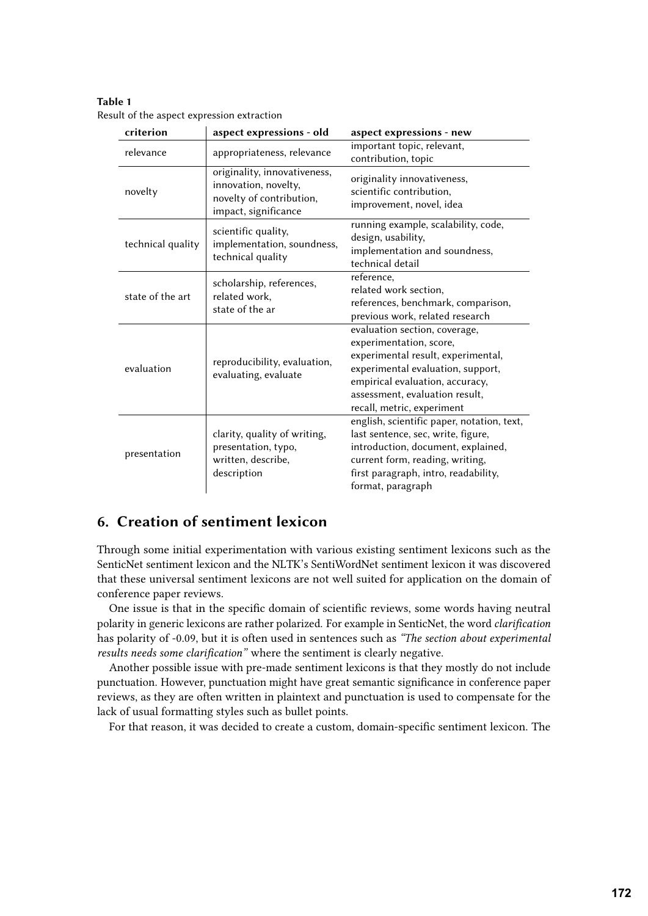<span id="page-7-0"></span>**Table 1** Result of the aspect expression extraction

| criterion         | aspect expressions - old                             | aspect expressions - new                   |  |  |
|-------------------|------------------------------------------------------|--------------------------------------------|--|--|
| relevance         | appropriateness, relevance                           | important topic, relevant,                 |  |  |
|                   |                                                      | contribution, topic                        |  |  |
| novelty           | originality, innovativeness,<br>innovation, novelty, | originality innovativeness,                |  |  |
|                   | novelty of contribution,                             | scientific contribution,                   |  |  |
|                   | impact, significance                                 | improvement, novel, idea                   |  |  |
| technical quality | scientific quality,                                  | running example, scalability, code,        |  |  |
|                   | implementation, soundness,                           | design, usability,                         |  |  |
|                   | technical quality                                    | implementation and soundness,              |  |  |
|                   |                                                      | technical detail                           |  |  |
| state of the art  | scholarship, references,<br>related work,            | reference,                                 |  |  |
|                   |                                                      | related work section,                      |  |  |
|                   | state of the ar                                      | references, benchmark, comparison,         |  |  |
|                   |                                                      | previous work, related research            |  |  |
| evaluation        |                                                      | evaluation section, coverage,              |  |  |
|                   |                                                      | experimentation, score,                    |  |  |
|                   | reproducibility, evaluation,                         | experimental result, experimental,         |  |  |
|                   | evaluating, evaluate                                 | experimental evaluation, support,          |  |  |
|                   |                                                      | empirical evaluation, accuracy,            |  |  |
|                   |                                                      | assessment, evaluation result,             |  |  |
|                   |                                                      | recall, metric, experiment                 |  |  |
| presentation      |                                                      | english, scientific paper, notation, text, |  |  |
|                   | clarity, quality of writing,                         | last sentence, sec, write, figure,         |  |  |
|                   | presentation, typo,                                  | introduction, document, explained,         |  |  |
|                   | written, describe,                                   | current form, reading, writing,            |  |  |
|                   | description                                          | first paragraph, intro, readability,       |  |  |
|                   |                                                      | format, paragraph                          |  |  |

## **6. Creation of sentiment lexicon**

Through some initial experimentation with various existing sentiment lexicons such as the SenticNet sentiment lexicon and the NLTK's SentiWordNet sentiment lexicon it was discovered that these universal sentiment lexicons are not well suited for application on the domain of conference paper reviews.

One issue is that in the specific domain of scientific reviews, some words having neutral polarity in generic lexicons are rather polarized. For example in SenticNet, the word *clarification* has polarity of -0.09, but it is often used in sentences such as *"The section about experimental results needs some clarification"* where the sentiment is clearly negative.

Another possible issue with pre-made sentiment lexicons is that they mostly do not include punctuation. However, punctuation might have great semantic significance in conference paper reviews, as they are often written in plaintext and punctuation is used to compensate for the lack of usual formatting styles such as bullet points.

For that reason, it was decided to create a custom, domain-specific sentiment lexicon. The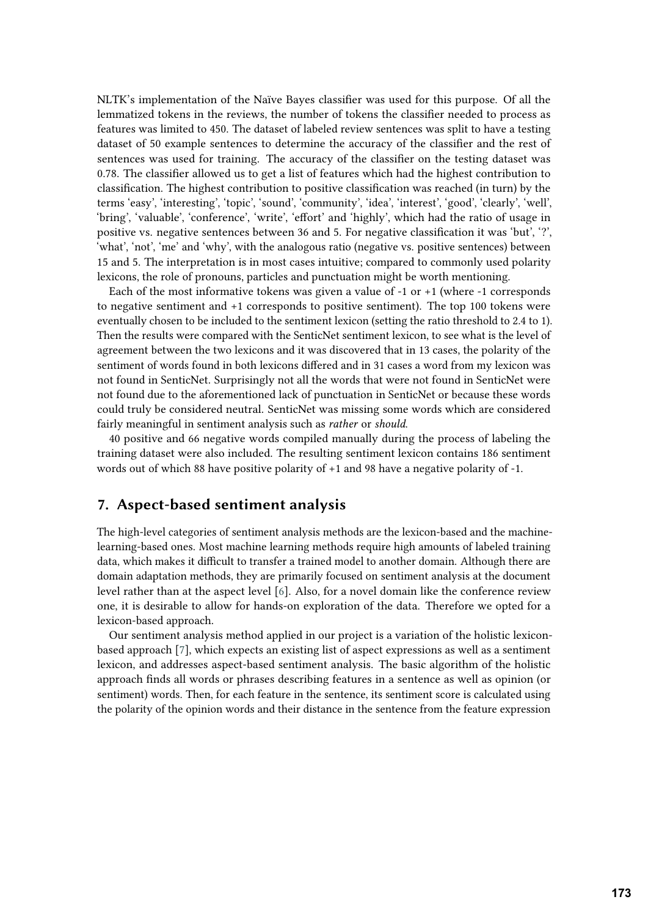NLTK's implementation of the Naïve Bayes classifier was used for this purpose. Of all the lemmatized tokens in the reviews, the number of tokens the classifier needed to process as features was limited to 450. The dataset of labeled review sentences was split to have a testing dataset of 50 example sentences to determine the accuracy of the classifier and the rest of sentences was used for training. The accuracy of the classifier on the testing dataset was 0.78. The classifier allowed us to get a list of features which had the highest contribution to classification. The highest contribution to positive classification was reached (in turn) by the terms 'easy', 'interesting', 'topic', 'sound', 'community', 'idea', 'interest', 'good', 'clearly', 'well', 'bring', 'valuable', 'conference', 'write', 'effort' and 'highly', which had the ratio of usage in positive vs. negative sentences between 36 and 5. For negative classification it was 'but', '?', 'what', 'not', 'me' and 'why', with the analogous ratio (negative vs. positive sentences) between 15 and 5. The interpretation is in most cases intuitive; compared to commonly used polarity lexicons, the role of pronouns, particles and punctuation might be worth mentioning.

Each of the most informative tokens was given a value of -1 or +1 (where -1 corresponds to negative sentiment and +1 corresponds to positive sentiment). The top 100 tokens were eventually chosen to be included to the sentiment lexicon (setting the ratio threshold to 2.4 to 1). Then the results were compared with the SenticNet sentiment lexicon, to see what is the level of agreement between the two lexicons and it was discovered that in 13 cases, the polarity of the sentiment of words found in both lexicons differed and in 31 cases a word from my lexicon was not found in SenticNet. Surprisingly not all the words that were not found in SenticNet were not found due to the aforementioned lack of punctuation in SenticNet or because these words could truly be considered neutral. SenticNet was missing some words which are considered fairly meaningful in sentiment analysis such as *rather* or *should*.

40 positive and 66 negative words compiled manually during the process of labeling the training dataset were also included. The resulting sentiment lexicon contains 186 sentiment words out of which 88 have positive polarity of +1 and 98 have a negative polarity of -1.

### **7. Aspect-based sentiment analysis**

The high-level categories of sentiment analysis methods are the lexicon-based and the machinelearning-based ones. Most machine learning methods require high amounts of labeled training data, which makes it difficult to transfer a trained model to another domain. Although there are domain adaptation methods, they are primarily focused on sentiment analysis at the document level rather than at the aspect level [\[6\]](#page-16-5). Also, for a novel domain like the conference review one, it is desirable to allow for hands-on exploration of the data. Therefore we opted for a lexicon-based approach.

Our sentiment analysis method applied in our project is a variation of the holistic lexiconbased approach [\[7\]](#page-16-6), which expects an existing list of aspect expressions as well as a sentiment lexicon, and addresses aspect-based sentiment analysis. The basic algorithm of the holistic approach finds all words or phrases describing features in a sentence as well as opinion (or sentiment) words. Then, for each feature in the sentence, its sentiment score is calculated using the polarity of the opinion words and their distance in the sentence from the feature expression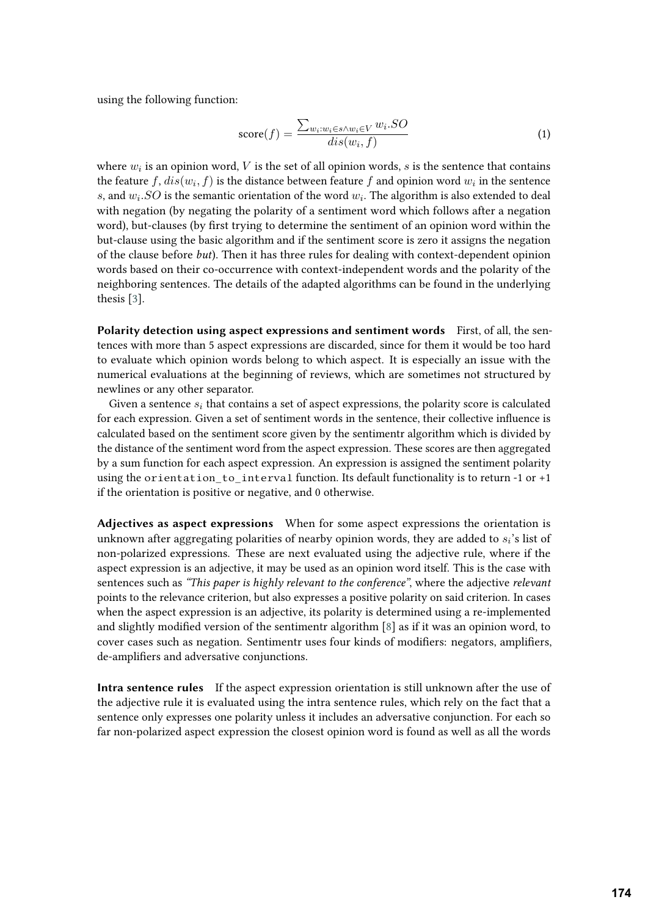using the following function:

$$
score(f) = \frac{\sum_{w_i:w_i \in s \land w_i \in V} w_i.SO}{dis(w_i, f)}
$$
(1)

where  $w_i$  is an opinion word,  $V$  is the set of all opinion words,  $s$  is the sentence that contains the feature  $f, dis(w_i, f)$  is the distance between feature  $f$  and opinion word  $w_i$  in the sentence s, and  $w_i$ . SO is the semantic orientation of the word  $w_i$ . The algorithm is also extended to deal with negation (by negating the polarity of a sentiment word which follows after a negation word), but-clauses (by first trying to determine the sentiment of an opinion word within the but-clause using the basic algorithm and if the sentiment score is zero it assigns the negation of the clause before *but*). Then it has three rules for dealing with context-dependent opinion words based on their co-occurrence with context-independent words and the polarity of the neighboring sentences. The details of the adapted algorithms can be found in the underlying thesis [\[3\]](#page-16-2).

Polarity detection using aspect expressions and sentiment words First, of all, the sentences with more than 5 aspect expressions are discarded, since for them it would be too hard to evaluate which opinion words belong to which aspect. It is especially an issue with the numerical evaluations at the beginning of reviews, which are sometimes not structured by newlines or any other separator.

Given a sentence  $s_i$  that contains a set of aspect expressions, the polarity score is calculated for each expression. Given a set of sentiment words in the sentence, their collective influence is calculated based on the sentiment score given by the sentimentr algorithm which is divided by the distance of the sentiment word from the aspect expression. These scores are then aggregated by a sum function for each aspect expression. An expression is assigned the sentiment polarity using the orientation to interval function. Its default functionality is to return -1 or +1 if the orientation is positive or negative, and 0 otherwise.

**Adjectives as aspect expressions** When for some aspect expressions the orientation is unknown after aggregating polarities of nearby opinion words, they are added to  $s_i$ 's list of non-polarized expressions. These are next evaluated using the adjective rule, where if the aspect expression is an adjective, it may be used as an opinion word itself. This is the case with sentences such as *"This paper is highly relevant to the conference"*, where the adjective *relevant* points to the relevance criterion, but also expresses a positive polarity on said criterion. In cases when the aspect expression is an adjective, its polarity is determined using a re-implemented and slightly modified version of the sentimentr algorithm [\[8\]](#page-16-7) as if it was an opinion word, to cover cases such as negation. Sentimentr uses four kinds of modifiers: negators, amplifiers, de-amplifiers and adversative conjunctions.

**Intra sentence rules** If the aspect expression orientation is still unknown after the use of the adjective rule it is evaluated using the intra sentence rules, which rely on the fact that a sentence only expresses one polarity unless it includes an adversative conjunction. For each so far non-polarized aspect expression the closest opinion word is found as well as all the words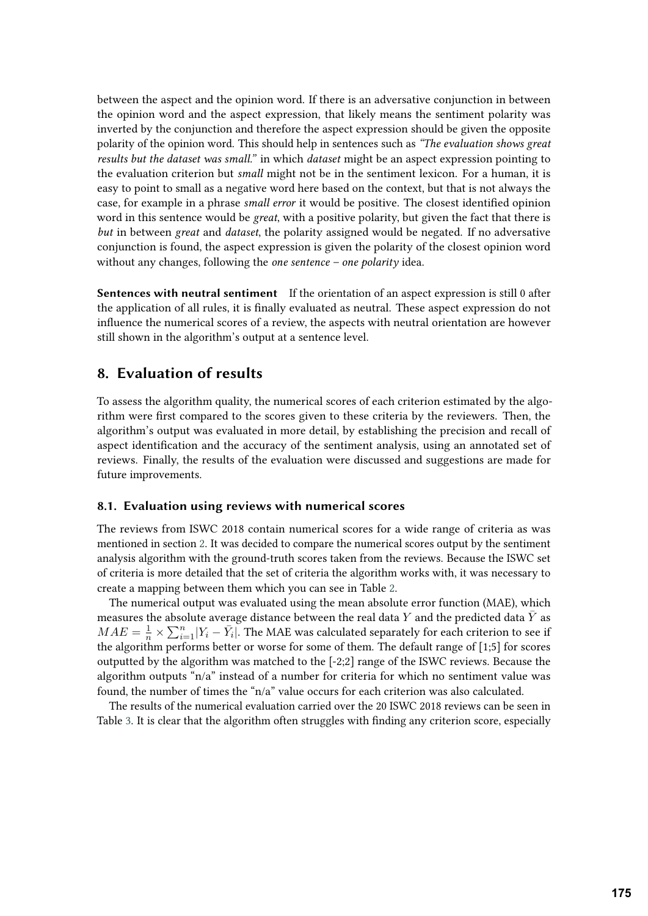between the aspect and the opinion word. If there is an adversative conjunction in between the opinion word and the aspect expression, that likely means the sentiment polarity was inverted by the conjunction and therefore the aspect expression should be given the opposite polarity of the opinion word. This should help in sentences such as *"The evaluation shows great results but the dataset was small."* in which *dataset* might be an aspect expression pointing to the evaluation criterion but *small* might not be in the sentiment lexicon. For a human, it is easy to point to small as a negative word here based on the context, but that is not always the case, for example in a phrase *small error* it would be positive. The closest identified opinion word in this sentence would be *great*, with a positive polarity, but given the fact that there is *but* in between *great* and *dataset*, the polarity assigned would be negated. If no adversative conjunction is found, the aspect expression is given the polarity of the closest opinion word without any changes, following the *one sentence – one polarity* idea.

**Sentences with neutral sentiment** If the orientation of an aspect expression is still 0 after the application of all rules, it is finally evaluated as neutral. These aspect expression do not influence the numerical scores of a review, the aspects with neutral orientation are however still shown in the algorithm's output at a sentence level.

## **8. Evaluation of results**

To assess the algorithm quality, the numerical scores of each criterion estimated by the algorithm were first compared to the scores given to these criteria by the reviewers. Then, the algorithm's output was evaluated in more detail, by establishing the precision and recall of aspect identification and the accuracy of the sentiment analysis, using an annotated set of reviews. Finally, the results of the evaluation were discussed and suggestions are made for future improvements.

### **8.1. Evaluation using reviews with numerical scores**

The reviews from ISWC 2018 contain numerical scores for a wide range of criteria as was mentioned in section [2.](#page-1-0) It was decided to compare the numerical scores output by the sentiment analysis algorithm with the ground-truth scores taken from the reviews. Because the ISWC set of criteria is more detailed that the set of criteria the algorithm works with, it was necessary to create a mapping between them which you can see in Table [2.](#page-11-0)

The numerical output was evaluated using the mean absolute error function (MAE), which measures the absolute average distance between the real data Y and the predicted data  $\bar{Y}$  as  $MAE = \frac{1}{n} \times \sum_{i=1}^{n} |Y_i - \bar{Y}_i|$ . The MAE was calculated separately for each criterion to see if the algorithm performs better or worse for some of them. The default range of [1;5] for scores outputted by the algorithm was matched to the [-2;2] range of the ISWC reviews. Because the algorithm outputs "n/a" instead of a number for criteria for which no sentiment value was found, the number of times the "n/a" value occurs for each criterion was also calculated.

The results of the numerical evaluation carried over the 20 ISWC 2018 reviews can be seen in Table [3.](#page-11-1) It is clear that the algorithm often struggles with finding any criterion score, especially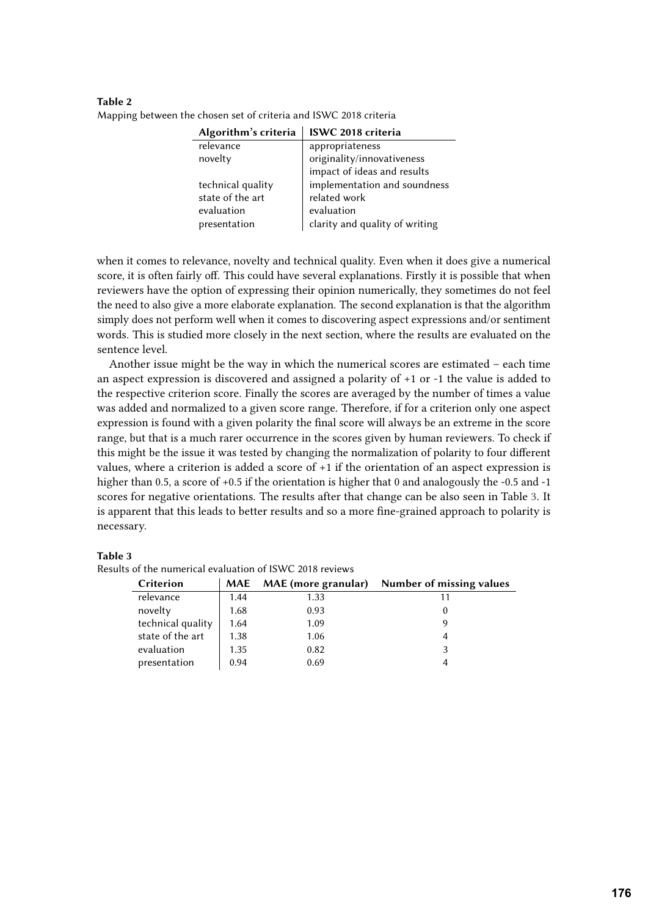| Algorithm's criteria | ISWC 2018 criteria             |
|----------------------|--------------------------------|
| relevance            | appropriateness                |
| novelty              | originality/innovativeness     |
|                      | impact of ideas and results    |
| technical quality    | implementation and soundness   |
| state of the art     | related work                   |
| evaluation           | evaluation                     |
| presentation         | clarity and quality of writing |
|                      |                                |

<span id="page-11-0"></span>**Table 2** Mapping between the chosen set of criteria and ISWC 2018 criteria

when it comes to relevance, novelty and technical quality. Even when it does give a numerical score, it is often fairly off. This could have several explanations. Firstly it is possible that when reviewers have the option of expressing their opinion numerically, they sometimes do not feel the need to also give a more elaborate explanation. The second explanation is that the algorithm simply does not perform well when it comes to discovering aspect expressions and/or sentiment words. This is studied more closely in the next section, where the results are evaluated on the sentence level.

Another issue might be the way in which the numerical scores are estimated – each time an aspect expression is discovered and assigned a polarity of +1 or -1 the value is added to the respective criterion score. Finally the scores are averaged by the number of times a value was added and normalized to a given score range. Therefore, if for a criterion only one aspect expression is found with a given polarity the final score will always be an extreme in the score range, but that is a much rarer occurrence in the scores given by human reviewers. To check if this might be the issue it was tested by changing the normalization of polarity to four different values, where a criterion is added a score of +1 if the orientation of an aspect expression is higher than 0.5, a score of +0.5 if the orientation is higher that 0 and analogously the -0.5 and -1 scores for negative orientations. The results after that change can be also seen in Table [3.](#page-11-1) It is apparent that this leads to better results and so a more fine-grained approach to polarity is necessary.

#### **Table 3**

| Criterion         | MAE  | <b>MAE (more granular)</b> | Number of missing values |
|-------------------|------|----------------------------|--------------------------|
| relevance         | 1.44 | 1.33                       |                          |
| novelty           | 1.68 | 0.93                       |                          |
| technical quality | 1.64 | 1.09                       |                          |
| state of the art  | 1.38 | 1.06                       |                          |
| evaluation        | 1.35 | 0.82                       |                          |
| presentation      | 0.94 | 0.69                       |                          |

<span id="page-11-1"></span>Results of the numerical evaluation of ISWC 2018 reviews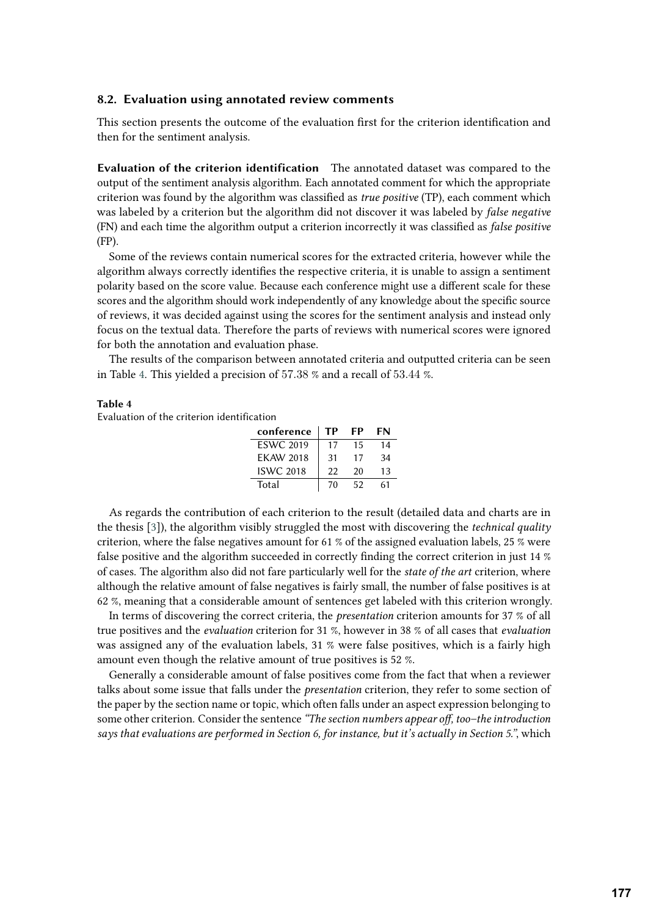### **8.2. Evaluation using annotated review comments**

This section presents the outcome of the evaluation first for the criterion identification and then for the sentiment analysis.

**Evaluation of the criterion identification** The annotated dataset was compared to the output of the sentiment analysis algorithm. Each annotated comment for which the appropriate criterion was found by the algorithm was classified as *true positive* (TP), each comment which was labeled by a criterion but the algorithm did not discover it was labeled by *false negative* (FN) and each time the algorithm output a criterion incorrectly it was classified as *false positive* (FP).

Some of the reviews contain numerical scores for the extracted criteria, however while the algorithm always correctly identifies the respective criteria, it is unable to assign a sentiment polarity based on the score value. Because each conference might use a different scale for these scores and the algorithm should work independently of any knowledge about the specific source of reviews, it was decided against using the scores for the sentiment analysis and instead only focus on the textual data. Therefore the parts of reviews with numerical scores were ignored for both the annotation and evaluation phase.

The results of the comparison between annotated criteria and outputted criteria can be seen in Table [4.](#page-12-0) This yielded a precision of 57.38 % and a recall of 53.44 %.

#### **Table 4**

<span id="page-12-0"></span>Evaluation of the criterion identification

| conference       | тр | FP | FN |
|------------------|----|----|----|
| <b>ESWC 2019</b> | 17 | 15 | 14 |
| <b>EKAW 2018</b> | 31 | 17 | 34 |
| <b>ISWC 2018</b> | 22 | 20 | 13 |
| Total            | 70 | 52 | 61 |

As regards the contribution of each criterion to the result (detailed data and charts are in the thesis [\[3\]](#page-16-2)), the algorithm visibly struggled the most with discovering the *technical quality* criterion, where the false negatives amount for 61 % of the assigned evaluation labels, 25 % were false positive and the algorithm succeeded in correctly finding the correct criterion in just 14 % of cases. The algorithm also did not fare particularly well for the *state of the art* criterion, where although the relative amount of false negatives is fairly small, the number of false positives is at 62 %, meaning that a considerable amount of sentences get labeled with this criterion wrongly.

In terms of discovering the correct criteria, the *presentation* criterion amounts for 37 % of all true positives and the *evaluation* criterion for 31 %, however in 38 % of all cases that *evaluation* was assigned any of the evaluation labels, 31 % were false positives, which is a fairly high amount even though the relative amount of true positives is 52 %.

Generally a considerable amount of false positives come from the fact that when a reviewer talks about some issue that falls under the *presentation* criterion, they refer to some section of the paper by the section name or topic, which often falls under an aspect expression belonging to some other criterion. Consider the sentence *"The section numbers appear off, too–the introduction says that evaluations are performed in Section 6, for instance, but it's actually in Section 5."*, which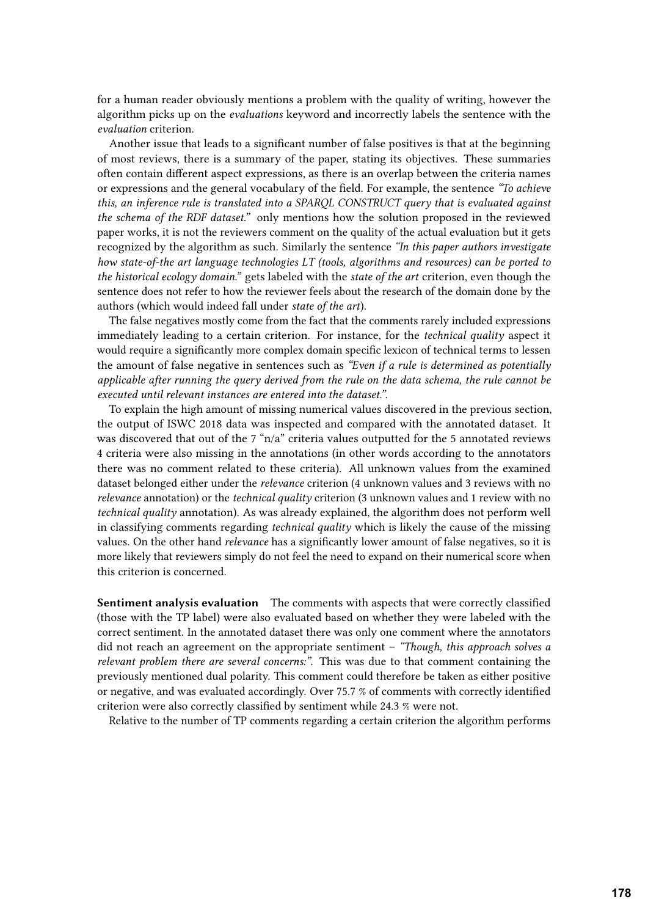for a human reader obviously mentions a problem with the quality of writing, however the algorithm picks up on the *evaluations* keyword and incorrectly labels the sentence with the *evaluation* criterion.

Another issue that leads to a significant number of false positives is that at the beginning of most reviews, there is a summary of the paper, stating its objectives. These summaries often contain different aspect expressions, as there is an overlap between the criteria names or expressions and the general vocabulary of the field. For example, the sentence *"To achieve this, an inference rule is translated into a SPARQL CONSTRUCT query that is evaluated against the schema of the RDF dataset."* only mentions how the solution proposed in the reviewed paper works, it is not the reviewers comment on the quality of the actual evaluation but it gets recognized by the algorithm as such. Similarly the sentence *"In this paper authors investigate how state-of-the art language technologies LT (tools, algorithms and resources) can be ported to the historical ecology domain."* gets labeled with the *state of the art* criterion, even though the sentence does not refer to how the reviewer feels about the research of the domain done by the authors (which would indeed fall under *state of the art*).

The false negatives mostly come from the fact that the comments rarely included expressions immediately leading to a certain criterion. For instance, for the *technical quality* aspect it would require a significantly more complex domain specific lexicon of technical terms to lessen the amount of false negative in sentences such as *"Even if a rule is determined as potentially applicable after running the query derived from the rule on the data schema, the rule cannot be executed until relevant instances are entered into the dataset."*.

To explain the high amount of missing numerical values discovered in the previous section, the output of ISWC 2018 data was inspected and compared with the annotated dataset. It was discovered that out of the 7 "n/a" criteria values outputted for the 5 annotated reviews 4 criteria were also missing in the annotations (in other words according to the annotators there was no comment related to these criteria). All unknown values from the examined dataset belonged either under the *relevance* criterion (4 unknown values and 3 reviews with no *relevance* annotation) or the *technical quality* criterion (3 unknown values and 1 review with no *technical quality* annotation). As was already explained, the algorithm does not perform well in classifying comments regarding *technical quality* which is likely the cause of the missing values. On the other hand *relevance* has a significantly lower amount of false negatives, so it is more likely that reviewers simply do not feel the need to expand on their numerical score when this criterion is concerned.

**Sentiment analysis evaluation** The comments with aspects that were correctly classified (those with the TP label) were also evaluated based on whether they were labeled with the correct sentiment. In the annotated dataset there was only one comment where the annotators did not reach an agreement on the appropriate sentiment – *"Though, this approach solves a relevant problem there are several concerns:"*. This was due to that comment containing the previously mentioned dual polarity. This comment could therefore be taken as either positive or negative, and was evaluated accordingly. Over 75.7 % of comments with correctly identified criterion were also correctly classified by sentiment while 24.3 % were not.

Relative to the number of TP comments regarding a certain criterion the algorithm performs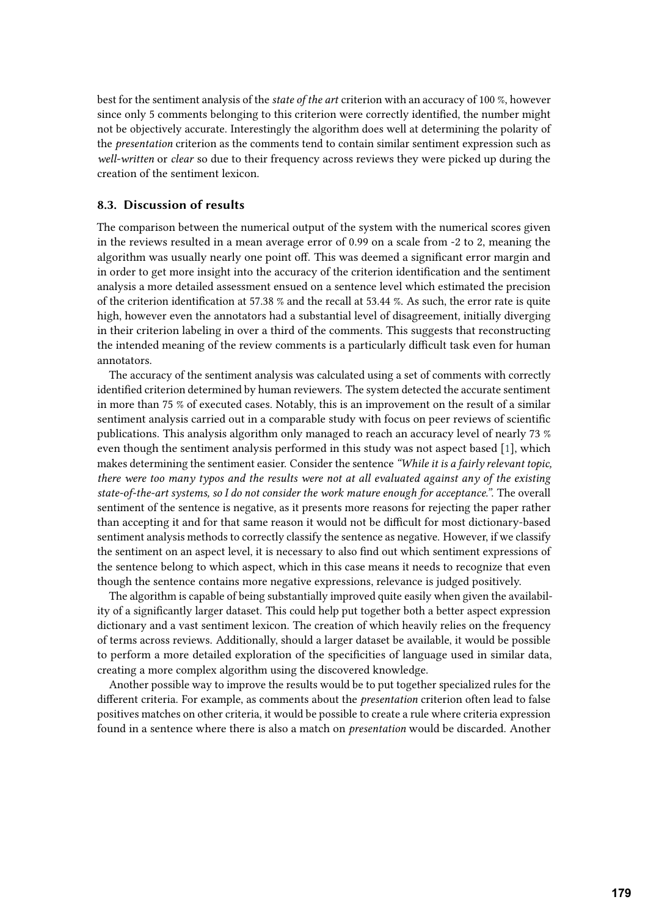best for the sentiment analysis of the *state of the art* criterion with an accuracy of 100 %, however since only 5 comments belonging to this criterion were correctly identified, the number might not be objectively accurate. Interestingly the algorithm does well at determining the polarity of the *presentation* criterion as the comments tend to contain similar sentiment expression such as *well-written* or *clear* so due to their frequency across reviews they were picked up during the creation of the sentiment lexicon.

### **8.3. Discussion of results**

The comparison between the numerical output of the system with the numerical scores given in the reviews resulted in a mean average error of 0.99 on a scale from -2 to 2, meaning the algorithm was usually nearly one point off. This was deemed a significant error margin and in order to get more insight into the accuracy of the criterion identification and the sentiment analysis a more detailed assessment ensued on a sentence level which estimated the precision of the criterion identification at 57.38 % and the recall at 53.44 %. As such, the error rate is quite high, however even the annotators had a substantial level of disagreement, initially diverging in their criterion labeling in over a third of the comments. This suggests that reconstructing the intended meaning of the review comments is a particularly difficult task even for human annotators.

The accuracy of the sentiment analysis was calculated using a set of comments with correctly identified criterion determined by human reviewers. The system detected the accurate sentiment in more than 75 % of executed cases. Notably, this is an improvement on the result of a similar sentiment analysis carried out in a comparable study with focus on peer reviews of scientific publications. This analysis algorithm only managed to reach an accuracy level of nearly 73 % even though the sentiment analysis performed in this study was not aspect based [\[1\]](#page-16-0), which makes determining the sentiment easier. Consider the sentence *"While it is a fairly relevant topic, there were too many typos and the results were not at all evaluated against any of the existing state-of-the-art systems, so I do not consider the work mature enough for acceptance."*. The overall sentiment of the sentence is negative, as it presents more reasons for rejecting the paper rather than accepting it and for that same reason it would not be difficult for most dictionary-based sentiment analysis methods to correctly classify the sentence as negative. However, if we classify the sentiment on an aspect level, it is necessary to also find out which sentiment expressions of the sentence belong to which aspect, which in this case means it needs to recognize that even though the sentence contains more negative expressions, relevance is judged positively.

The algorithm is capable of being substantially improved quite easily when given the availability of a significantly larger dataset. This could help put together both a better aspect expression dictionary and a vast sentiment lexicon. The creation of which heavily relies on the frequency of terms across reviews. Additionally, should a larger dataset be available, it would be possible to perform a more detailed exploration of the specificities of language used in similar data, creating a more complex algorithm using the discovered knowledge.

Another possible way to improve the results would be to put together specialized rules for the different criteria. For example, as comments about the *presentation* criterion often lead to false positives matches on other criteria, it would be possible to create a rule where criteria expression found in a sentence where there is also a match on *presentation* would be discarded. Another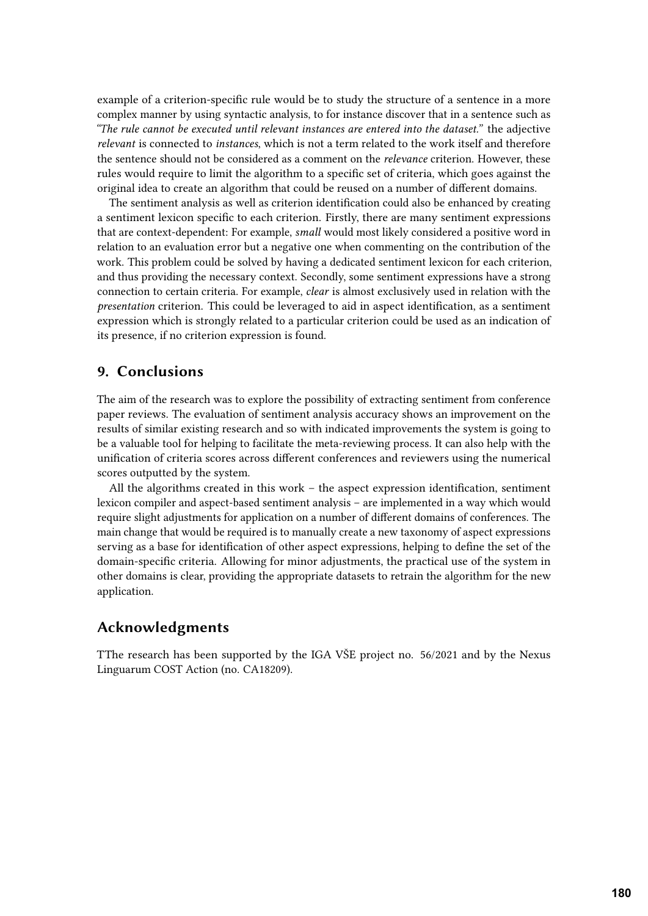example of a criterion-specific rule would be to study the structure of a sentence in a more complex manner by using syntactic analysis, to for instance discover that in a sentence such as *"The rule cannot be executed until relevant instances are entered into the dataset."* the adjective *relevant* is connected to *instances*, which is not a term related to the work itself and therefore the sentence should not be considered as a comment on the *relevance* criterion. However, these rules would require to limit the algorithm to a specific set of criteria, which goes against the original idea to create an algorithm that could be reused on a number of different domains.

The sentiment analysis as well as criterion identification could also be enhanced by creating a sentiment lexicon specific to each criterion. Firstly, there are many sentiment expressions that are context-dependent: For example, *small* would most likely considered a positive word in relation to an evaluation error but a negative one when commenting on the contribution of the work. This problem could be solved by having a dedicated sentiment lexicon for each criterion, and thus providing the necessary context. Secondly, some sentiment expressions have a strong connection to certain criteria. For example, *clear* is almost exclusively used in relation with the *presentation* criterion. This could be leveraged to aid in aspect identification, as a sentiment expression which is strongly related to a particular criterion could be used as an indication of its presence, if no criterion expression is found.

## **9. Conclusions**

The aim of the research was to explore the possibility of extracting sentiment from conference paper reviews. The evaluation of sentiment analysis accuracy shows an improvement on the results of similar existing research and so with indicated improvements the system is going to be a valuable tool for helping to facilitate the meta-reviewing process. It can also help with the unification of criteria scores across different conferences and reviewers using the numerical scores outputted by the system.

All the algorithms created in this work – the aspect expression identification, sentiment lexicon compiler and aspect-based sentiment analysis – are implemented in a way which would require slight adjustments for application on a number of different domains of conferences. The main change that would be required is to manually create a new taxonomy of aspect expressions serving as a base for identification of other aspect expressions, helping to define the set of the domain-specific criteria. Allowing for minor adjustments, the practical use of the system in other domains is clear, providing the appropriate datasets to retrain the algorithm for the new application.

## **Acknowledgments**

TThe research has been supported by the IGA VŠE project no. 56/2021 and by the Nexus Linguarum COST Action (no. CA18209).